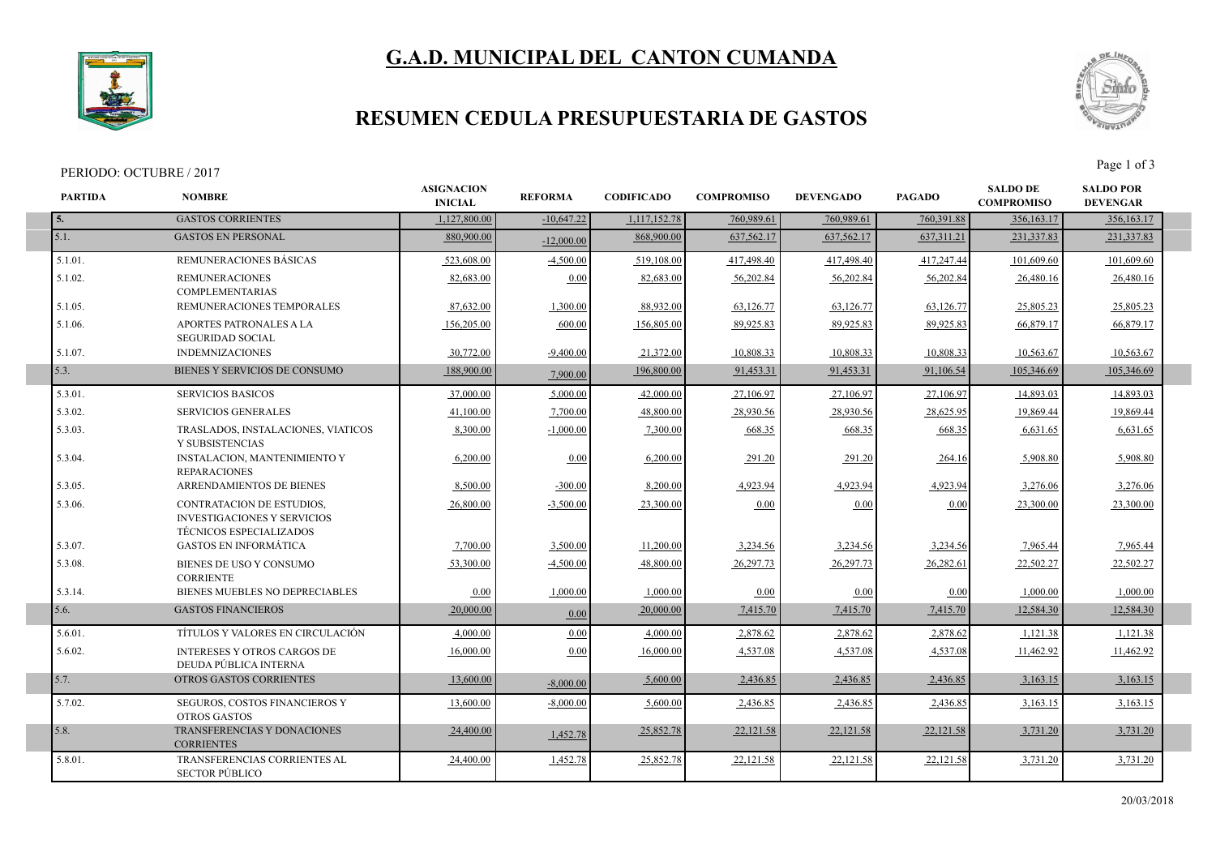## **G.A.D. MUNICIPAL DEL CANTON CUMANDA**



I

### **RESUMEN CEDULA PRESUPUESTARIA DE GASTOS**

#### PERIODO: OCTUBRE / 2017



| <b>PARTIDA</b> | <b>NOMBRE</b>                                                                                            | <b>ASIGNACION</b><br><b>INICIAL</b> | <b>REFORMA</b> | <b>CODIFICADO</b> | <b>COMPROMISO</b> | <b>DEVENGADO</b> | <b>PAGADO</b> | <b>SALDO DE</b><br><b>COMPROMISO</b> | <b>SALDO POR</b><br><b>DEVENGAR</b> |  |
|----------------|----------------------------------------------------------------------------------------------------------|-------------------------------------|----------------|-------------------|-------------------|------------------|---------------|--------------------------------------|-------------------------------------|--|
| 5.             | <b>GASTOS CORRIENTES</b>                                                                                 | 1,127,800.00                        | $-10,647.22$   | 1,117,152.78      | 760,989.61        | 760,989.61       | 760,391.88    | 356,163.17                           | 356,163.17                          |  |
| $\vert$ 5.1.   | <b>GASTOS EN PERSONAL</b>                                                                                | 880,900.00                          | $-12,000.00$   | 868,900.00        | 637,562.17        | 637,562.17       | 637, 311. 21  | 231,337.83                           | 231,337.83                          |  |
| 5.1.01.        | REMUNERACIONES BÁSICAS                                                                                   | 523,608.00                          | $-4,500.00$    | 519,108.00        | 417,498.40        | 417,498.40       | 417,247.44    | 101,609.60                           | 101,609.60                          |  |
| 5.1.02.        | <b>REMUNERACIONES</b><br><b>COMPLEMENTARIAS</b>                                                          | 82,683.00                           | 0.00           | 82,683.00         | 56,202.84         | 56,202.84        | 56,202.84     | 26,480.16                            | 26,480.16                           |  |
| 5.1.05.        | REMUNERACIONES TEMPORALES                                                                                | 87,632.00                           | 1,300.00       | 88,932.00         | 63,126.77         | 63,126.77        | 63,126.77     | 25,805.23                            | 25,805.23                           |  |
| 5.1.06.        | APORTES PATRONALES A LA<br><b>SEGURIDAD SOCIAL</b>                                                       | 156,205.00                          | 600.00         | 156,805.00        | 89,925.83         | 89,925.83        | 89,925.83     | 66,879.17                            | 66,879.17                           |  |
| 5.1.07.        | <b>INDEMNIZACIONES</b>                                                                                   | 30,772.00                           | $-9.400.00$    | 21,372.00         | 10,808.33         | 10,808.33        | 10,808.33     | 10,563.67                            | 10,563.67                           |  |
| 5.3.           | BIENES Y SERVICIOS DE CONSUMO                                                                            | 188,900.00                          | 7,900.00       | 196,800.00        | 91,453.31         | 91,453.31        | 91,106.54     | 105,346.69                           | 105,346.69                          |  |
| 5.3.01.        | <b>SERVICIOS BASICOS</b>                                                                                 | 37,000.00                           | 5,000.00       | 42,000.00         | 27,106.97         | 27,106.97        | 27,106.97     | 14,893.03                            | 14,893.03                           |  |
| 5.3.02.        | <b>SERVICIOS GENERALES</b>                                                                               | 41,100.00                           | 7,700.00       | 48,800.00         | 28,930.56         | 28,930.56        | 28,625.95     | 19.869.44                            | 19,869.44                           |  |
| 5.3.03.        | TRASLADOS, INSTALACIONES, VIATICOS<br>Y SUBSISTENCIAS                                                    | 8,300.00                            | $-1,000.00$    | 7,300.00          | 668.35            | 668.35           | 668.35        | 6,631.65                             | 6,631.65                            |  |
| 5.3.04.        | INSTALACION, MANTENIMIENTO Y<br><b>REPARACIONES</b>                                                      | 6,200.00                            | 0.00           | 6,200.00          | 291.20            | 291.20           | 264.16        | 5,908.80                             | 5,908.80                            |  |
| 5.3.05.        | <b>ARRENDAMIENTOS DE BIENES</b>                                                                          | 8,500.00                            | $-300.00$      | 8,200.00          | 4,923.94          | 4,923.94         | 4,923.94      | 3,276.06                             | 3,276.06                            |  |
| 5.3.06.        | <b>CONTRATACION DE ESTUDIOS,</b><br><b>INVESTIGACIONES Y SERVICIOS</b><br><b>TÉCNICOS ESPECIALIZADOS</b> | 26,800.00                           | $-3,500.00$    | 23,300.00         | 0.00              | 0.00             | 0.00          | 23,300.00                            | 23,300.00                           |  |
| 5.3.07.        | <b>GASTOS EN INFORMÁTICA</b>                                                                             | 7,700.00                            | 3,500.00       | 11,200.00         | 3,234.56          | 3,234.56         | 3,234.56      | 7,965.44                             | 7,965.44                            |  |
| 5.3.08.        | BIENES DE USO Y CONSUMO<br><b>CORRIENTE</b>                                                              | 53.300.00                           | $-4,500.00$    | 48,800.00         | 26,297.73         | 26,297.73        | 26.282.61     | 22,502.27                            | 22,502.27                           |  |
| 5.3.14.        | BIENES MUEBLES NO DEPRECIABLES                                                                           | 0.00                                | 1.000.00       | 1,000.00          | 0.00              | 0.00             | 0.00          | 1,000.00                             | 1.000.00                            |  |
| 5.6.           | <b>GASTOS FINANCIEROS</b>                                                                                | 20,000.00                           | 0.00           | 20,000.00         | 7,415.70          | 7,415.70         | 7,415.70      | 12,584.30                            | 12,584.30                           |  |
| 5.6.01.        | TÍTULOS Y VALORES EN CIRCULACIÓN                                                                         | 4,000.00                            | 0.00           | 4,000.00          | 2,878.62          | 2,878.62         | 2,878.62      | 1,121.38                             | 1,121.38                            |  |
| 5.6.02.        | <b>INTERESES Y OTROS CARGOS DE</b><br>DEUDA PÚBLICA INTERNA                                              | 16,000.00                           | 0.00           | 16,000.00         | 4,537.08          | 4,537.08         | 4,537.08      | 11.462.92                            | 11.462.92                           |  |
| 5.7.           | <b>OTROS GASTOS CORRIENTES</b>                                                                           | 13,600.00                           | $-8,000,00$    | 5,600.00          | 2,436.85          | 2,436.85         | 2,436.85      | 3,163.15                             | 3,163.15                            |  |
| 5.7.02.        | SEGUROS, COSTOS FINANCIEROS Y<br><b>OTROS GASTOS</b>                                                     | 13,600.00                           | $-8,000.00$    | 5,600.00          | 2,436.85          | 2,436.85         | 2,436.85      | 3,163.15                             | 3,163.15                            |  |
| 5.8.           | TRANSFERENCIAS Y DONACIONES<br><b>CORRIENTES</b>                                                         | 24,400.00                           | 1,452.78       | 25,852.78         | 22,121.58         | 22,121.58        | 22,121.58     | 3,731.20                             | 3,731.20                            |  |
| 5.8.01.        | TRANSFERENCIAS CORRIENTES AL<br><b>SECTOR PÚBLICO</b>                                                    | 24,400.00                           | 1,452.78       | 25,852.78         | 22,121.58         | 22,121.58        | 22,121.58     | 3,731.20                             | 3,731.20                            |  |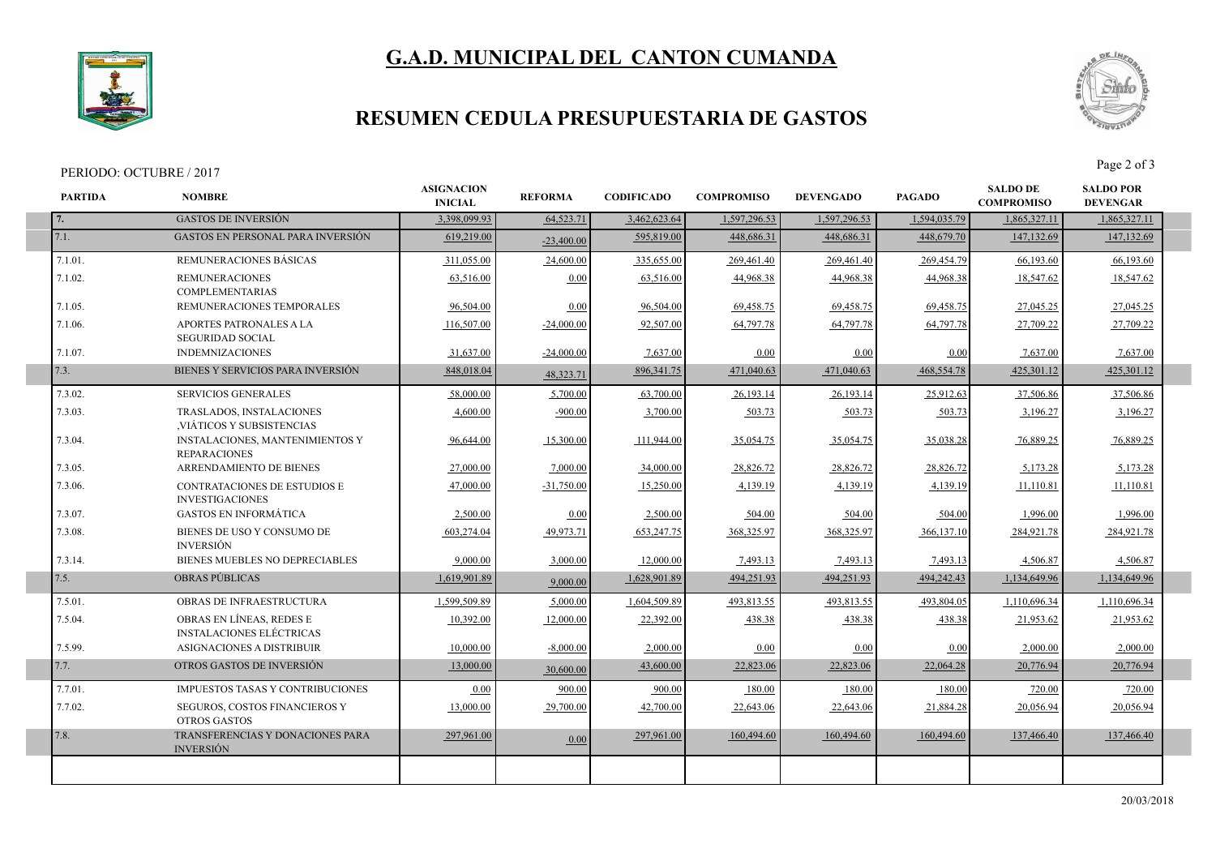# **G.A.D. MUNICIPAL DEL CANTON CUMANDA**



I

I

I

### **RESUMEN CEDULA PRESUPUESTARIA DE GASTOS**

#### PERIODO: OCTUBRE / 2017



| <b>PARTIDA</b> | <b>NOMBRE</b>                                                 | <b>ASIGNACION</b><br><b>INICIAL</b> | <b>REFORMA</b> | <b>CODIFICADO</b> | <b>COMPROMISO</b> | <b>DEVENGADO</b> | <b>PAGADO</b> | <b>SALDO DE</b><br><b>COMPROMISO</b> | <b>SALDO POR</b><br><b>DEVENGAR</b> |
|----------------|---------------------------------------------------------------|-------------------------------------|----------------|-------------------|-------------------|------------------|---------------|--------------------------------------|-------------------------------------|
| 7.             | <b>GASTOS DE INVERSIÓN</b>                                    | 3,398,099.93                        | 64,523.71      | 3,462,623.64      | 1,597,296.53      | 1,597,296.53     | 1,594,035.79  | 1,865,327.11                         | 1,865,327.11                        |
| 7.1.           | <b>GASTOS EN PERSONAL PARA INVERSIÓN</b>                      | 619,219.00                          | $-23,400,00$   | 595,819.00        | 448.686.31        | 448,686.31       | 448,679.70    | 147,132.69                           | 147,132.69                          |
| 7.1.01.        | REMUNERACIONES BÁSICAS                                        | 311,055.00                          | 24,600.00      | 335,655.00        | 269,461.40        | 269,461.40       | 269,454.79    | 66,193.60                            | 66,193.60                           |
| 7.1.02.        | <b>REMUNERACIONES</b><br><b>COMPLEMENTARIAS</b>               | 63,516.00                           | 0.00           | 63,516.00         | 44,968.38         | 44,968.38        | 44,968.38     | 18,547.62                            | 18,547.62                           |
| 7.1.05.        | REMUNERACIONES TEMPORALES                                     | 96,504.00                           | 0.00           | 96,504.00         | 69,458.75         | 69,458.75        | 69,458.75     | 27,045.25                            | 27,045.25                           |
| 7.1.06.        | APORTES PATRONALES A LA<br><b>SEGURIDAD SOCIAL</b>            | 116,507.00                          | $-24,000.00$   | 92,507.00         | 64,797.78         | 64,797.78        | 64,797.78     | 27,709.22                            | 27,709.22                           |
| 7.1.07.        | <b>INDEMNIZACIONES</b>                                        | 31,637.00                           | $-24,000.00$   | 7,637.00          | 0.00              | 0.00             | 0.00          | 7.637.00                             | 7.637.00                            |
| 7.3.           | BIENES Y SERVICIOS PARA INVERSIÓN                             | 848,018.04                          | 48,323.71      | 896, 341. 75      | 471,040.63        | 471,040.63       | 468,554.78    | 425,301.12                           | 425,301.12                          |
| 7.3.02.        | <b>SERVICIOS GENERALES</b>                                    | 58,000.00                           | 5,700.00       | 63,700.00         | 26,193.14         | 26,193.14        | 25,912.63     | 37.506.86                            | 37.506.86                           |
| 7.3.03.        | TRASLADOS, INSTALACIONES<br>VIÁTICOS Y SUBSISTENCIAS          | 4.600.00                            | $-900.00$      | 3,700.00          | 503.73            | 503.73           | 503.73        | 3,196.27                             | 3,196.27                            |
| 7.3.04.        | <b>INSTALACIONES, MANTENIMIENTOS Y</b><br><b>REPARACIONES</b> | 96,644.00                           | 15,300.00      | 111,944.00        | 35,054.75         | 35,054.75        | 35,038.28     | 76,889.25                            | 76,889.25                           |
| 7.3.05.        | ARRENDAMIENTO DE BIENES                                       | 27,000.00                           | 7,000.00       | 34,000.00         | 28,826.72         | 28,826.72        | 28,826.72     | 5,173.28                             | 5,173.28                            |
| 7.3.06.        | <b>CONTRATACIONES DE ESTUDIOS E</b><br><b>INVESTIGACIONES</b> | 47,000.00                           | $-31,750.00$   | 15,250.00         | 4,139.19          | 4,139.19         | 4,139.19      | 11,110.81                            | 11,110.81                           |
| 7.3.07.        | <b>GASTOS EN INFORMÁTICA</b>                                  | 2,500.00                            | 0.00           | 2,500.00          | 504.00            | 504.00           | 504.00        | 1,996.00                             | 1,996.00                            |
| 7.3.08.        | BIENES DE USO Y CONSUMO DE<br><b>INVERSIÓN</b>                | 603,274.04                          | 49,973.71      | 653,247.75        | 368,325.97        | 368,325.97       | 366,137.10    | 284,921.78                           | 284,921.78                          |
| 7.3.14.        | BIENES MUEBLES NO DEPRECIABLES                                | 9.000.00                            | 3.000.00       | 12,000.00         | 7,493.13          | 7,493.13         | 7,493.13      | 4,506.87                             | 4,506.87                            |
| 7.5.           | <b>OBRAS PÚBLICAS</b>                                         | 1,619,901.89                        | 9,000.00       | 1,628,901.89      | 494,251.93        | 494.251.93       | 494,242,43    | 1.134.649.96                         | 1.134.649.96                        |
| 7.5.01.        | OBRAS DE INFRAESTRUCTURA                                      | 1,599,509.89                        | 5,000.00       | 1,604,509.89      | 493,813.55        | 493,813.55       | 493,804.05    | 1,110,696.34                         | 1,110,696.34                        |
| 7.5.04.        | OBRAS EN LÍNEAS, REDES E<br><b>INSTALACIONES ELÉCTRICAS</b>   | 10,392.00                           | 12,000.00      | 22,392.00         | 438.38            | 438.38           | 438.38        | 21,953.62                            | 21,953.62                           |
| 7.5.99.        | ASIGNACIONES A DISTRIBUIR                                     | 10,000.00                           | $-8,000.00$    | 2,000.00          | 0.00              | 0.00             | 0.00          | 2,000.00                             | 2,000.00                            |
| 7.7.           | OTROS GASTOS DE INVERSIÓN                                     | 13,000.00                           | 30,600.00      | 43,600.00         | 22,823.06         | 22,823.06        | 22,064.28     | 20,776.94                            | 20,776.94                           |
| 7.7.01.        | IMPUESTOS TASAS Y CONTRIBUCIONES                              | 0.00                                | 900.00         | 900.00            | 180.00            | 180.00           | 180.00        | 720.00                               | 720.00                              |
| 7.7.02.        | SEGUROS, COSTOS FINANCIEROS Y<br><b>OTROS GASTOS</b>          | 13,000.00                           | 29,700.00      | 42,700.00         | 22,643.06         | 22,643.06        | 21,884.28     | 20,056.94                            | 20,056.94                           |
| 7.8.           | TRANSFERENCIAS Y DONACIONES PARA<br><b>INVERSIÓN</b>          | 297,961.00                          | 0.00           | 297,961.00        | 160,494.60        | 160,494.60       | 160,494.60    | 137,466.40                           | 137,466.40                          |
|                |                                                               |                                     |                |                   |                   |                  |               |                                      |                                     |